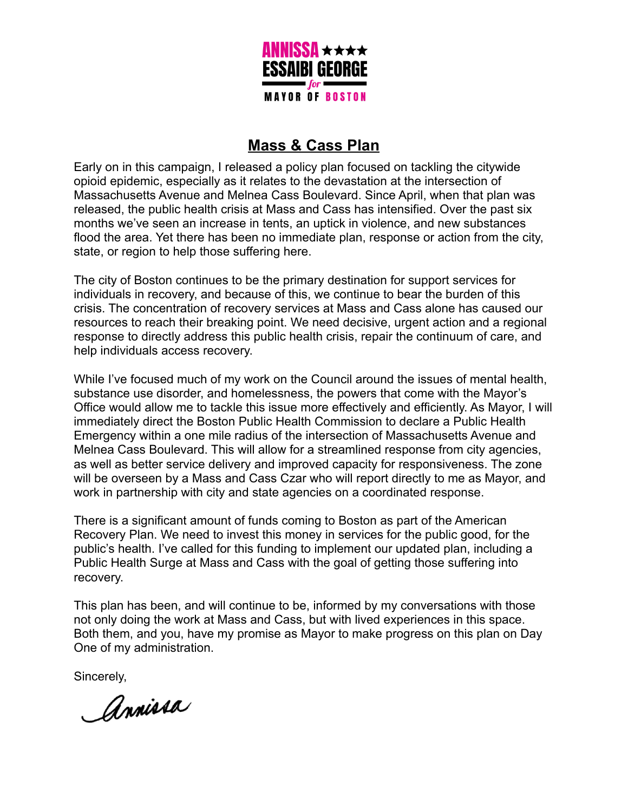

# **Mass & Cass Plan**

Early on in this campaign, I released a policy plan focused on tackling the citywide opioid epidemic, especially as it relates to the devastation at the intersection of Massachusetts Avenue and Melnea Cass Boulevard. Since April, when that plan was released, the public health crisis at Mass and Cass has intensified. Over the past six months we've seen an increase in tents, an uptick in violence, and new substances flood the area. Yet there has been no immediate plan, response or action from the city, state, or region to help those suffering here.

The city of Boston continues to be the primary destination for support services for individuals in recovery, and because of this, we continue to bear the burden of this crisis. The concentration of recovery services at Mass and Cass alone has caused our resources to reach their breaking point. We need decisive, urgent action and a regional response to directly address this public health crisis, repair the continuum of care, and help individuals access recovery.

While I've focused much of my work on the Council around the issues of mental health, substance use disorder, and homelessness, the powers that come with the Mayor's Office would allow me to tackle this issue more effectively and efficiently. As Mayor, I will immediately direct the Boston Public Health Commission to declare a Public Health Emergency within a one mile radius of the intersection of Massachusetts Avenue and Melnea Cass Boulevard. This will allow for a streamlined response from city agencies, as well as better service delivery and improved capacity for responsiveness. The zone will be overseen by a Mass and Cass Czar who will report directly to me as Mayor, and work in partnership with city and state agencies on a coordinated response.

There is a significant amount of funds coming to Boston as part of the American Recovery Plan. We need to invest this money in services for the public good, for the public's health. I've called for this funding to implement our updated plan, including a Public Health Surge at Mass and Cass with the goal of getting those suffering into recovery.

This plan has been, and will continue to be, informed by my conversations with those not only doing the work at Mass and Cass, but with lived experiences in this space. Both them, and you, have my promise as Mayor to make progress on this plan on Day One of my administration.

Sincerely,

Annissa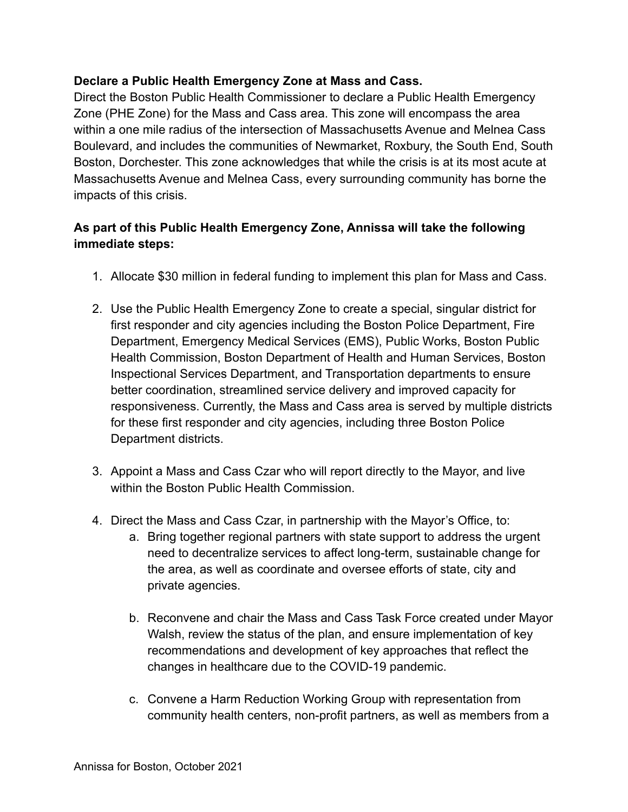# **Declare a Public Health Emergency Zone at Mass and Cass.**

Direct the Boston Public Health Commissioner to declare a Public Health Emergency Zone (PHE Zone) for the Mass and Cass area. This zone will encompass the area within a one mile radius of the intersection of Massachusetts Avenue and Melnea Cass Boulevard, and includes the communities of Newmarket, Roxbury, the South End, South Boston, Dorchester. This zone acknowledges that while the crisis is at its most acute at Massachusetts Avenue and Melnea Cass, every surrounding community has borne the impacts of this crisis.

# **As part of this Public Health Emergency Zone, Annissa will take the following immediate steps:**

- 1. Allocate \$30 million in federal funding to implement this plan for Mass and Cass.
- 2. Use the Public Health Emergency Zone to create a special, singular district for first responder and city agencies including the Boston Police Department, Fire Department, Emergency Medical Services (EMS), Public Works, Boston Public Health Commission, Boston Department of Health and Human Services, Boston Inspectional Services Department, and Transportation departments to ensure better coordination, streamlined service delivery and improved capacity for responsiveness. Currently, the Mass and Cass area is served by multiple districts for these first responder and city agencies, including three Boston Police Department districts.
- 3. Appoint a Mass and Cass Czar who will report directly to the Mayor, and live within the Boston Public Health Commission.
- 4. Direct the Mass and Cass Czar, in partnership with the Mayor's Office, to:
	- a. Bring together regional partners with state support to address the urgent need to decentralize services to affect long-term, sustainable change for the area, as well as coordinate and oversee efforts of state, city and private agencies.
	- b. Reconvene and chair the Mass and Cass Task Force created under Mayor Walsh, review the status of the plan, and ensure implementation of key recommendations and development of key approaches that reflect the changes in healthcare due to the COVID-19 pandemic.
	- c. Convene a Harm Reduction Working Group with representation from community health centers, non-profit partners, as well as members from a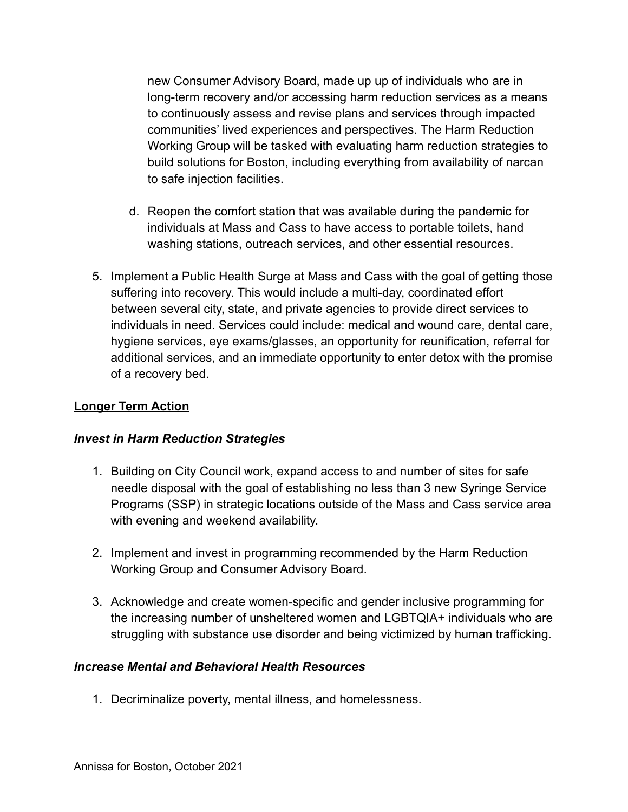new Consumer Advisory Board, made up up of individuals who are in long-term recovery and/or accessing harm reduction services as a means to continuously assess and revise plans and services through impacted communities' lived experiences and perspectives. The Harm Reduction Working Group will be tasked with evaluating harm reduction strategies to build solutions for Boston, including everything from availability of narcan to safe injection facilities.

- d. Reopen the comfort station that was available during the pandemic for individuals at Mass and Cass to have access to portable toilets, hand washing stations, outreach services, and other essential resources.
- 5. Implement a Public Health Surge at Mass and Cass with the goal of getting those suffering into recovery. This would include a multi-day, coordinated effort between several city, state, and private agencies to provide direct services to individuals in need. Services could include: medical and wound care, dental care, hygiene services, eye exams/glasses, an opportunity for reunification, referral for additional services, and an immediate opportunity to enter detox with the promise of a recovery bed.

## **Longer Term Action**

#### *Invest in Harm Reduction Strategies*

- 1. Building on City Council work, expand access to and number of sites for safe needle disposal with the goal of establishing no less than 3 new Syringe Service Programs (SSP) in strategic locations outside of the Mass and Cass service area with evening and weekend availability.
- 2. Implement and invest in programming recommended by the Harm Reduction Working Group and Consumer Advisory Board.
- 3. Acknowledge and create women-specific and gender inclusive programming for the increasing number of unsheltered women and LGBTQIA+ individuals who are struggling with substance use disorder and being victimized by human trafficking.

#### *Increase Mental and Behavioral Health Resources*

1. Decriminalize poverty, mental illness, and homelessness.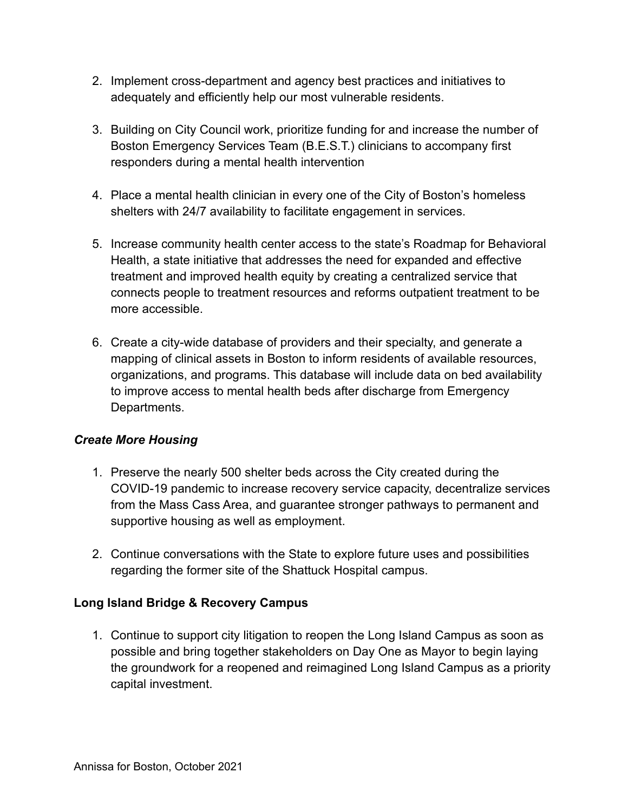- 2. Implement cross-department and agency best practices and initiatives to adequately and efficiently help our most vulnerable residents.
- 3. Building on City Council work, prioritize funding for and increase the number of Boston Emergency Services Team (B.E.S.T.) clinicians to accompany first responders during a mental health intervention
- 4. Place a mental health clinician in every one of the City of Boston's homeless shelters with 24/7 availability to facilitate engagement in services.
- 5. Increase community health center access to the state's Roadmap for Behavioral Health, a state initiative that addresses the need for expanded and effective treatment and improved health equity by creating a centralized service that connects people to treatment resources and reforms outpatient treatment to be more accessible.
- 6. Create a city-wide database of providers and their specialty, and generate a mapping of clinical assets in Boston to inform residents of available resources, organizations, and programs. This database will include data on bed availability to improve access to mental health beds after discharge from Emergency Departments.

# *Create More Housing*

- 1. Preserve the nearly 500 shelter beds across the City created during the COVID-19 pandemic to increase recovery service capacity, decentralize services from the Mass Cass Area, and guarantee stronger pathways to permanent and supportive housing as well as employment.
- 2. Continue conversations with the State to explore future uses and possibilities regarding the former site of the Shattuck Hospital campus.

# **Long Island Bridge & Recovery Campus**

1. Continue to support city litigation to reopen the Long Island Campus as soon as possible and bring together stakeholders on Day One as Mayor to begin laying the groundwork for a reopened and reimagined Long Island Campus as a priority capital investment.